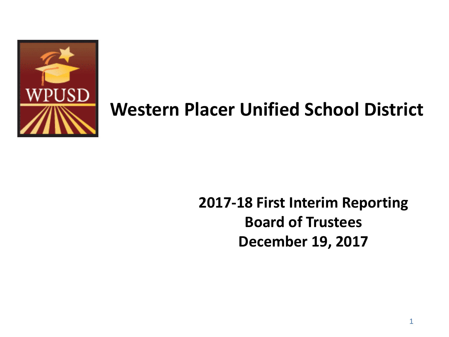

## **Western Placer Unified School District**

### **2017-18 First Interim Reporting Board of Trustees December 19, 2017**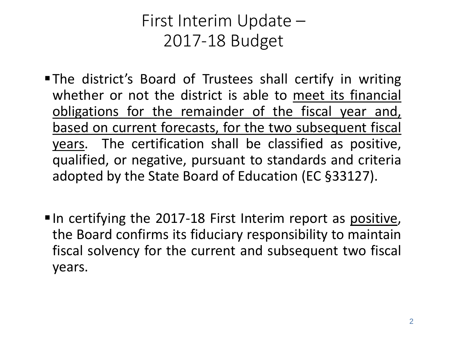### First Interim Update – 2017-18 Budget

- The district's Board of Trustees shall certify in writing whether or not the district is able to meet its financial obligations for the remainder of the fiscal year and, based on current forecasts, for the two subsequent fiscal years. The certification shall be classified as positive, qualified, or negative, pursuant to standards and criteria adopted by the State Board of Education (EC §33127).
- In certifying the 2017-18 First Interim report as positive, the Board confirms its fiduciary responsibility to maintain fiscal solvency for the current and subsequent two fiscal years.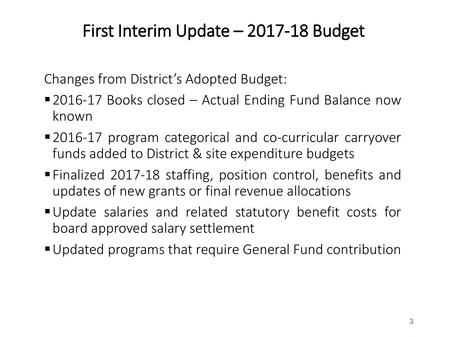## First Interim Update – 2017-18 Budget

Changes from District's Adopted Budget:

- 2016-17 Books closed Actual Ending Fund Balance now known
- 2016-17 program categorical and co-curricular carryover funds added to District & site expenditure budgets
- Finalized 2017-18 staffing, position control, benefits and updates of new grants or final revenue allocations
- Update salaries and related statutory benefit costs for board approved salary settlement
- Updated programs that require General Fund contribution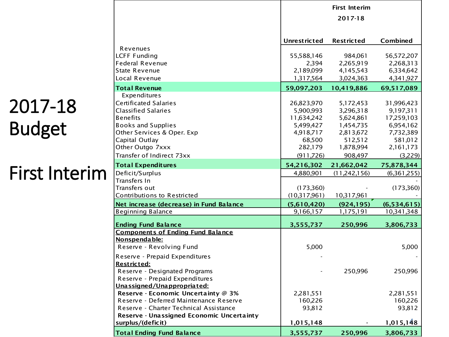## 2017-18 Budget

## First Interim

|                                           |                     | <b>First Interim</b> |               |
|-------------------------------------------|---------------------|----------------------|---------------|
|                                           |                     | 2017-18              |               |
|                                           |                     |                      |               |
|                                           | <b>Unrestricted</b> | <b>Restricted</b>    | Combined      |
| Revenues                                  |                     |                      |               |
| <b>LCFF Funding</b>                       | 55,588,146          | 984,061              | 56,572,207    |
| <b>Federal Revenue</b>                    | 2,394               | 2,265,919            | 2,268,313     |
| <b>State Revenue</b>                      | 2,189,099           | 4,145,543            | 6,334,642     |
| Local Revenue                             | 1,317,564           | 3,024,363            | 4,341,927     |
| <b>Total Revenue</b>                      | 59,097,203          | 10,419,886           | 69,517,089    |
| Expenditures                              |                     |                      |               |
| Certificated Salaries                     | 26,823,970          | 5,172,453            | 31,996,423    |
| <b>Classified Salaries</b>                | 5,900,993           | 3,296,318            | 9,197,311     |
| <b>Benefits</b>                           | 11,634,242          | 5,624,861            | 17,259,103    |
| <b>Books and Supplies</b>                 | 5,499,427           | 1,454,735            | 6,954,162     |
| Other Services & Oper. Exp                | 4,918,717           | 2,813,672            | 7,732,389     |
| Capital Outlay                            | 68,500              | 512,512              | 581,012       |
| Other Outgo 7xxx                          | 282,179             | 1,878,994            | 2,161,173     |
| Transfer of Indirect 73xx                 | (911, 726)          | 908,497              | (3,229)       |
| <b>Total Expenditures</b>                 | 54,216,302          | 21,662,042           | 75,878,344    |
| Deficit/Surplus                           | 4,880,901           | (11,242,156)         | (6,361,255)   |
| Transfers In                              |                     |                      |               |
| Transfers out                             | (173,360)           |                      | (173, 360)    |
| Contributions to Restricted               | (10,317,961)        | 10,317,961           |               |
| Net increase (decrease) in Fund Balance   | (5,610,420)         | (924, 195)           | (6, 534, 615) |
| <b>Beginning Balance</b>                  | 9,166,157           | 1,175,191            | 10,341,348    |
| <b>Ending Fund Balance</b>                | 3,555,737           | 250,996              | 3,806,733     |
| <b>Components of Ending Fund Balance</b>  |                     |                      |               |
| Nonspendable:                             |                     |                      |               |
| Reserve - Revolving Fund                  | 5,000               |                      | 5,000         |
| Reserve - Prepaid Expenditures            |                     |                      |               |
| <b>Restricted:</b>                        |                     |                      |               |
| Reserve - Designated Programs             |                     | 250,996              | 250,996       |
| Reserve - Prepaid Expenditures            |                     |                      |               |
| <u>Unassigned/Unappropriated:</u>         |                     |                      |               |
| Reserve - Economic Uncertainty @ 3%       | 2,281,551           |                      | 2,281,551     |
| Reserve - Deferred Maintenance Reserve    | 160,226             |                      | 160,226       |
| Reserve - Charter Technical Assistance    | 93,812              |                      | 93,812        |
| Reserve - Unassigned Economic Uncertainty |                     |                      |               |
| surplus/(deficit)                         | 1,015,148           |                      | 1,015,148     |
| <b>Total Ending Fund Balance</b>          | 3,555,737           | 250,996              | 3,806,733     |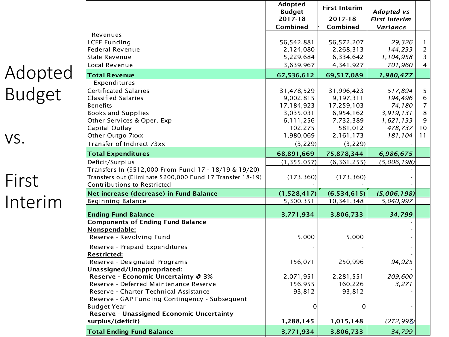| Adopted       |
|---------------|
| <b>Budget</b> |

vs.

## First Interim

| 2017-18<br>2017-18<br><b>First Interim</b><br>Combined<br>Combined<br>Variance<br>Revenues<br><b>LCFF Funding</b><br>56,542,881<br>56,572,207<br>29,326<br>1.<br>$\overline{2}$<br><b>Federal Revenue</b><br>2,124,080<br>2,268,313<br>144,233<br>3<br><b>State Revenue</b><br>5,229,684<br>6,334,642<br>1,104,958<br>Local Revenue<br>3,639,967<br>4,341,927<br>701,960<br>4<br>67,536,612<br>69,517,089<br><b>Total Revenue</b><br>1,980,477<br>Expenditures<br>Certificated Salaries<br>5<br>31,478,529<br>31,996,423<br>517,894<br>6<br>194,496<br><b>Classified Salaries</b><br>9,002,815<br>9,197,311<br>7<br><b>Benefits</b><br>17,184,923<br>17,259,103<br>74,180<br>8<br><b>Books and Supplies</b><br>3,035,031<br>6,954,162<br>3,919,131<br>Other Services & Oper. Exp<br>9<br>6,111,256<br>7,732,389<br>1,621,133<br>102,275<br>581,012<br>10<br>Capital Outlay<br>478,737<br>Other Outgo 7xxx<br>1,980,069<br>2,161,173<br>181,104<br>11<br>Transfer of Indirect 73xx<br>(3, 229)<br>(3, 229)<br>68,891,669<br>75,878,344<br><b>Total Expenditures</b><br>6,986,675<br>Deficit/Surplus<br>(6, 361, 255)<br>(5,006,198)<br>(1, 355, 057)<br>Transfers In (\$512,000 From Fund 17 - 18/19 & 19/20)<br>Transfers out (Eliminate \$200,000 Fund 17 Transfer 18-19)<br>(173, 360)<br>(173, 360)<br><b>Contributions to Restricted</b><br>Net increase (decrease) in Fund Balance<br>(1,528,417)<br>(6,534,615)<br>(5,006,198)<br>5,300,351<br>10,341,348<br>Beginning Balance<br>5,040,997<br><b>Ending Fund Balance</b><br>3,806,733<br>34,799<br>3,771,934<br><b>Components of Ending Fund Balance</b><br>Nonspendable:<br>5,000<br>5,000<br>Reserve - Revolving Fund<br>Reserve - Prepaid Expenditures<br><b>Restricted:</b><br>Reserve - Designated Programs<br>156,071<br>250,996<br>94,925<br>Unassigned/Unappropriated:<br>209,600<br>Reserve - Economic Uncertainty @ 3%<br>2,071,951<br>2,281,551<br>3,271<br>Reserve - Deferred Maintenance Reserve<br>156,955<br>160,226<br>Reserve - Charter Technical Assistance<br>93,812<br>93,812<br>Reserve - GAP Funding Contingency - Subsequent<br><b>Budget Year</b><br>$\mathbf 0$<br>$\mathbf 0$<br>Reserve - Unassigned Economic Uncertainty<br>surplus/(deficit)<br>1,288,145<br>1,015,148<br>(272, 998) |                                  | Adopted<br><b>Budget</b> | <b>First Interim</b> | Adopted vs |  |
|--------------------------------------------------------------------------------------------------------------------------------------------------------------------------------------------------------------------------------------------------------------------------------------------------------------------------------------------------------------------------------------------------------------------------------------------------------------------------------------------------------------------------------------------------------------------------------------------------------------------------------------------------------------------------------------------------------------------------------------------------------------------------------------------------------------------------------------------------------------------------------------------------------------------------------------------------------------------------------------------------------------------------------------------------------------------------------------------------------------------------------------------------------------------------------------------------------------------------------------------------------------------------------------------------------------------------------------------------------------------------------------------------------------------------------------------------------------------------------------------------------------------------------------------------------------------------------------------------------------------------------------------------------------------------------------------------------------------------------------------------------------------------------------------------------------------------------------------------------------------------------------------------------------------------------------------------------------------------------------------------------------------------------------------------------------------------------------------------------------------------------------------------------------------------------------------------------------------------------------------------------------------------|----------------------------------|--------------------------|----------------------|------------|--|
|                                                                                                                                                                                                                                                                                                                                                                                                                                                                                                                                                                                                                                                                                                                                                                                                                                                                                                                                                                                                                                                                                                                                                                                                                                                                                                                                                                                                                                                                                                                                                                                                                                                                                                                                                                                                                                                                                                                                                                                                                                                                                                                                                                                                                                                                          |                                  |                          |                      |            |  |
|                                                                                                                                                                                                                                                                                                                                                                                                                                                                                                                                                                                                                                                                                                                                                                                                                                                                                                                                                                                                                                                                                                                                                                                                                                                                                                                                                                                                                                                                                                                                                                                                                                                                                                                                                                                                                                                                                                                                                                                                                                                                                                                                                                                                                                                                          |                                  |                          |                      |            |  |
|                                                                                                                                                                                                                                                                                                                                                                                                                                                                                                                                                                                                                                                                                                                                                                                                                                                                                                                                                                                                                                                                                                                                                                                                                                                                                                                                                                                                                                                                                                                                                                                                                                                                                                                                                                                                                                                                                                                                                                                                                                                                                                                                                                                                                                                                          |                                  |                          |                      |            |  |
|                                                                                                                                                                                                                                                                                                                                                                                                                                                                                                                                                                                                                                                                                                                                                                                                                                                                                                                                                                                                                                                                                                                                                                                                                                                                                                                                                                                                                                                                                                                                                                                                                                                                                                                                                                                                                                                                                                                                                                                                                                                                                                                                                                                                                                                                          |                                  |                          |                      |            |  |
|                                                                                                                                                                                                                                                                                                                                                                                                                                                                                                                                                                                                                                                                                                                                                                                                                                                                                                                                                                                                                                                                                                                                                                                                                                                                                                                                                                                                                                                                                                                                                                                                                                                                                                                                                                                                                                                                                                                                                                                                                                                                                                                                                                                                                                                                          |                                  |                          |                      |            |  |
|                                                                                                                                                                                                                                                                                                                                                                                                                                                                                                                                                                                                                                                                                                                                                                                                                                                                                                                                                                                                                                                                                                                                                                                                                                                                                                                                                                                                                                                                                                                                                                                                                                                                                                                                                                                                                                                                                                                                                                                                                                                                                                                                                                                                                                                                          |                                  |                          |                      |            |  |
|                                                                                                                                                                                                                                                                                                                                                                                                                                                                                                                                                                                                                                                                                                                                                                                                                                                                                                                                                                                                                                                                                                                                                                                                                                                                                                                                                                                                                                                                                                                                                                                                                                                                                                                                                                                                                                                                                                                                                                                                                                                                                                                                                                                                                                                                          |                                  |                          |                      |            |  |
|                                                                                                                                                                                                                                                                                                                                                                                                                                                                                                                                                                                                                                                                                                                                                                                                                                                                                                                                                                                                                                                                                                                                                                                                                                                                                                                                                                                                                                                                                                                                                                                                                                                                                                                                                                                                                                                                                                                                                                                                                                                                                                                                                                                                                                                                          |                                  |                          |                      |            |  |
|                                                                                                                                                                                                                                                                                                                                                                                                                                                                                                                                                                                                                                                                                                                                                                                                                                                                                                                                                                                                                                                                                                                                                                                                                                                                                                                                                                                                                                                                                                                                                                                                                                                                                                                                                                                                                                                                                                                                                                                                                                                                                                                                                                                                                                                                          |                                  |                          |                      |            |  |
|                                                                                                                                                                                                                                                                                                                                                                                                                                                                                                                                                                                                                                                                                                                                                                                                                                                                                                                                                                                                                                                                                                                                                                                                                                                                                                                                                                                                                                                                                                                                                                                                                                                                                                                                                                                                                                                                                                                                                                                                                                                                                                                                                                                                                                                                          |                                  |                          |                      |            |  |
|                                                                                                                                                                                                                                                                                                                                                                                                                                                                                                                                                                                                                                                                                                                                                                                                                                                                                                                                                                                                                                                                                                                                                                                                                                                                                                                                                                                                                                                                                                                                                                                                                                                                                                                                                                                                                                                                                                                                                                                                                                                                                                                                                                                                                                                                          |                                  |                          |                      |            |  |
|                                                                                                                                                                                                                                                                                                                                                                                                                                                                                                                                                                                                                                                                                                                                                                                                                                                                                                                                                                                                                                                                                                                                                                                                                                                                                                                                                                                                                                                                                                                                                                                                                                                                                                                                                                                                                                                                                                                                                                                                                                                                                                                                                                                                                                                                          |                                  |                          |                      |            |  |
|                                                                                                                                                                                                                                                                                                                                                                                                                                                                                                                                                                                                                                                                                                                                                                                                                                                                                                                                                                                                                                                                                                                                                                                                                                                                                                                                                                                                                                                                                                                                                                                                                                                                                                                                                                                                                                                                                                                                                                                                                                                                                                                                                                                                                                                                          |                                  |                          |                      |            |  |
|                                                                                                                                                                                                                                                                                                                                                                                                                                                                                                                                                                                                                                                                                                                                                                                                                                                                                                                                                                                                                                                                                                                                                                                                                                                                                                                                                                                                                                                                                                                                                                                                                                                                                                                                                                                                                                                                                                                                                                                                                                                                                                                                                                                                                                                                          |                                  |                          |                      |            |  |
|                                                                                                                                                                                                                                                                                                                                                                                                                                                                                                                                                                                                                                                                                                                                                                                                                                                                                                                                                                                                                                                                                                                                                                                                                                                                                                                                                                                                                                                                                                                                                                                                                                                                                                                                                                                                                                                                                                                                                                                                                                                                                                                                                                                                                                                                          |                                  |                          |                      |            |  |
|                                                                                                                                                                                                                                                                                                                                                                                                                                                                                                                                                                                                                                                                                                                                                                                                                                                                                                                                                                                                                                                                                                                                                                                                                                                                                                                                                                                                                                                                                                                                                                                                                                                                                                                                                                                                                                                                                                                                                                                                                                                                                                                                                                                                                                                                          |                                  |                          |                      |            |  |
|                                                                                                                                                                                                                                                                                                                                                                                                                                                                                                                                                                                                                                                                                                                                                                                                                                                                                                                                                                                                                                                                                                                                                                                                                                                                                                                                                                                                                                                                                                                                                                                                                                                                                                                                                                                                                                                                                                                                                                                                                                                                                                                                                                                                                                                                          |                                  |                          |                      |            |  |
|                                                                                                                                                                                                                                                                                                                                                                                                                                                                                                                                                                                                                                                                                                                                                                                                                                                                                                                                                                                                                                                                                                                                                                                                                                                                                                                                                                                                                                                                                                                                                                                                                                                                                                                                                                                                                                                                                                                                                                                                                                                                                                                                                                                                                                                                          |                                  |                          |                      |            |  |
|                                                                                                                                                                                                                                                                                                                                                                                                                                                                                                                                                                                                                                                                                                                                                                                                                                                                                                                                                                                                                                                                                                                                                                                                                                                                                                                                                                                                                                                                                                                                                                                                                                                                                                                                                                                                                                                                                                                                                                                                                                                                                                                                                                                                                                                                          |                                  |                          |                      |            |  |
|                                                                                                                                                                                                                                                                                                                                                                                                                                                                                                                                                                                                                                                                                                                                                                                                                                                                                                                                                                                                                                                                                                                                                                                                                                                                                                                                                                                                                                                                                                                                                                                                                                                                                                                                                                                                                                                                                                                                                                                                                                                                                                                                                                                                                                                                          |                                  |                          |                      |            |  |
|                                                                                                                                                                                                                                                                                                                                                                                                                                                                                                                                                                                                                                                                                                                                                                                                                                                                                                                                                                                                                                                                                                                                                                                                                                                                                                                                                                                                                                                                                                                                                                                                                                                                                                                                                                                                                                                                                                                                                                                                                                                                                                                                                                                                                                                                          |                                  |                          |                      |            |  |
|                                                                                                                                                                                                                                                                                                                                                                                                                                                                                                                                                                                                                                                                                                                                                                                                                                                                                                                                                                                                                                                                                                                                                                                                                                                                                                                                                                                                                                                                                                                                                                                                                                                                                                                                                                                                                                                                                                                                                                                                                                                                                                                                                                                                                                                                          |                                  |                          |                      |            |  |
|                                                                                                                                                                                                                                                                                                                                                                                                                                                                                                                                                                                                                                                                                                                                                                                                                                                                                                                                                                                                                                                                                                                                                                                                                                                                                                                                                                                                                                                                                                                                                                                                                                                                                                                                                                                                                                                                                                                                                                                                                                                                                                                                                                                                                                                                          |                                  |                          |                      |            |  |
|                                                                                                                                                                                                                                                                                                                                                                                                                                                                                                                                                                                                                                                                                                                                                                                                                                                                                                                                                                                                                                                                                                                                                                                                                                                                                                                                                                                                                                                                                                                                                                                                                                                                                                                                                                                                                                                                                                                                                                                                                                                                                                                                                                                                                                                                          |                                  |                          |                      |            |  |
|                                                                                                                                                                                                                                                                                                                                                                                                                                                                                                                                                                                                                                                                                                                                                                                                                                                                                                                                                                                                                                                                                                                                                                                                                                                                                                                                                                                                                                                                                                                                                                                                                                                                                                                                                                                                                                                                                                                                                                                                                                                                                                                                                                                                                                                                          |                                  |                          |                      |            |  |
|                                                                                                                                                                                                                                                                                                                                                                                                                                                                                                                                                                                                                                                                                                                                                                                                                                                                                                                                                                                                                                                                                                                                                                                                                                                                                                                                                                                                                                                                                                                                                                                                                                                                                                                                                                                                                                                                                                                                                                                                                                                                                                                                                                                                                                                                          |                                  |                          |                      |            |  |
|                                                                                                                                                                                                                                                                                                                                                                                                                                                                                                                                                                                                                                                                                                                                                                                                                                                                                                                                                                                                                                                                                                                                                                                                                                                                                                                                                                                                                                                                                                                                                                                                                                                                                                                                                                                                                                                                                                                                                                                                                                                                                                                                                                                                                                                                          |                                  |                          |                      |            |  |
|                                                                                                                                                                                                                                                                                                                                                                                                                                                                                                                                                                                                                                                                                                                                                                                                                                                                                                                                                                                                                                                                                                                                                                                                                                                                                                                                                                                                                                                                                                                                                                                                                                                                                                                                                                                                                                                                                                                                                                                                                                                                                                                                                                                                                                                                          |                                  |                          |                      |            |  |
|                                                                                                                                                                                                                                                                                                                                                                                                                                                                                                                                                                                                                                                                                                                                                                                                                                                                                                                                                                                                                                                                                                                                                                                                                                                                                                                                                                                                                                                                                                                                                                                                                                                                                                                                                                                                                                                                                                                                                                                                                                                                                                                                                                                                                                                                          |                                  |                          |                      |            |  |
|                                                                                                                                                                                                                                                                                                                                                                                                                                                                                                                                                                                                                                                                                                                                                                                                                                                                                                                                                                                                                                                                                                                                                                                                                                                                                                                                                                                                                                                                                                                                                                                                                                                                                                                                                                                                                                                                                                                                                                                                                                                                                                                                                                                                                                                                          |                                  |                          |                      |            |  |
|                                                                                                                                                                                                                                                                                                                                                                                                                                                                                                                                                                                                                                                                                                                                                                                                                                                                                                                                                                                                                                                                                                                                                                                                                                                                                                                                                                                                                                                                                                                                                                                                                                                                                                                                                                                                                                                                                                                                                                                                                                                                                                                                                                                                                                                                          |                                  |                          |                      |            |  |
|                                                                                                                                                                                                                                                                                                                                                                                                                                                                                                                                                                                                                                                                                                                                                                                                                                                                                                                                                                                                                                                                                                                                                                                                                                                                                                                                                                                                                                                                                                                                                                                                                                                                                                                                                                                                                                                                                                                                                                                                                                                                                                                                                                                                                                                                          |                                  |                          |                      |            |  |
|                                                                                                                                                                                                                                                                                                                                                                                                                                                                                                                                                                                                                                                                                                                                                                                                                                                                                                                                                                                                                                                                                                                                                                                                                                                                                                                                                                                                                                                                                                                                                                                                                                                                                                                                                                                                                                                                                                                                                                                                                                                                                                                                                                                                                                                                          |                                  |                          |                      |            |  |
|                                                                                                                                                                                                                                                                                                                                                                                                                                                                                                                                                                                                                                                                                                                                                                                                                                                                                                                                                                                                                                                                                                                                                                                                                                                                                                                                                                                                                                                                                                                                                                                                                                                                                                                                                                                                                                                                                                                                                                                                                                                                                                                                                                                                                                                                          |                                  |                          |                      |            |  |
|                                                                                                                                                                                                                                                                                                                                                                                                                                                                                                                                                                                                                                                                                                                                                                                                                                                                                                                                                                                                                                                                                                                                                                                                                                                                                                                                                                                                                                                                                                                                                                                                                                                                                                                                                                                                                                                                                                                                                                                                                                                                                                                                                                                                                                                                          |                                  |                          |                      |            |  |
|                                                                                                                                                                                                                                                                                                                                                                                                                                                                                                                                                                                                                                                                                                                                                                                                                                                                                                                                                                                                                                                                                                                                                                                                                                                                                                                                                                                                                                                                                                                                                                                                                                                                                                                                                                                                                                                                                                                                                                                                                                                                                                                                                                                                                                                                          |                                  |                          |                      |            |  |
|                                                                                                                                                                                                                                                                                                                                                                                                                                                                                                                                                                                                                                                                                                                                                                                                                                                                                                                                                                                                                                                                                                                                                                                                                                                                                                                                                                                                                                                                                                                                                                                                                                                                                                                                                                                                                                                                                                                                                                                                                                                                                                                                                                                                                                                                          |                                  |                          |                      |            |  |
|                                                                                                                                                                                                                                                                                                                                                                                                                                                                                                                                                                                                                                                                                                                                                                                                                                                                                                                                                                                                                                                                                                                                                                                                                                                                                                                                                                                                                                                                                                                                                                                                                                                                                                                                                                                                                                                                                                                                                                                                                                                                                                                                                                                                                                                                          |                                  |                          |                      |            |  |
|                                                                                                                                                                                                                                                                                                                                                                                                                                                                                                                                                                                                                                                                                                                                                                                                                                                                                                                                                                                                                                                                                                                                                                                                                                                                                                                                                                                                                                                                                                                                                                                                                                                                                                                                                                                                                                                                                                                                                                                                                                                                                                                                                                                                                                                                          | <b>Total Ending Fund Balance</b> | 3,771,934                | 3,806,733            | 34,799     |  |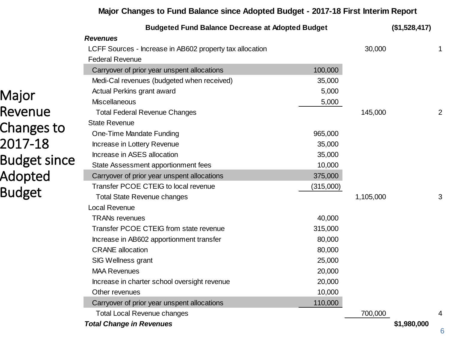#### **Major Changes to Fund Balance since Adopted Budget - 2017-18 First Interim Report**

|                     | <b>Budgeted Fund Balance Decrease at Adopted Budget</b>  |           |           | (\$1,528,417) |                |
|---------------------|----------------------------------------------------------|-----------|-----------|---------------|----------------|
|                     | <b>Revenues</b>                                          |           |           |               |                |
|                     | LCFF Sources - Increase in AB602 property tax allocation |           | 30,000    |               |                |
|                     | <b>Federal Revenue</b>                                   |           |           |               |                |
|                     | Carryover of prior year unspent allocations              | 100,000   |           |               |                |
|                     | Medi-Cal revenues (budgeted when received)               | 35,000    |           |               |                |
| Major               | Actual Perkins grant award                               | 5,000     |           |               |                |
|                     | <b>Miscellaneous</b>                                     | 5,000     |           |               |                |
| Revenue             | <b>Total Federal Revenue Changes</b>                     |           | 145,000   |               | $\overline{c}$ |
| Changes to          | <b>State Revenue</b>                                     |           |           |               |                |
|                     | One-Time Mandate Funding                                 | 965,000   |           |               |                |
| 2017-18             | Increase in Lottery Revenue                              | 35,000    |           |               |                |
| <b>Budget since</b> | Increase in ASES allocation                              | 35,000    |           |               |                |
|                     | State Assessment apportionment fees                      | 10,000    |           |               |                |
| Adopted             | Carryover of prior year unspent allocations              | 375,000   |           |               |                |
| <b>Budget</b>       | Transfer PCOE CTEIG to local revenue                     | (315,000) |           |               |                |
|                     | <b>Total State Revenue changes</b>                       |           | 1,105,000 |               | 3              |
|                     | <b>Local Revenue</b>                                     |           |           |               |                |
|                     | <b>TRANs revenues</b>                                    | 40,000    |           |               |                |
|                     | Transfer PCOE CTEIG from state revenue                   | 315,000   |           |               |                |
|                     | Increase in AB602 apportionment transfer                 | 80,000    |           |               |                |
|                     | <b>CRANE</b> allocation                                  | 80,000    |           |               |                |
|                     | SIG Wellness grant                                       | 25,000    |           |               |                |
|                     | <b>MAA Revenues</b>                                      | 20,000    |           |               |                |
|                     | Increase in charter school oversight revenue             | 20,000    |           |               |                |
|                     | Other revenues                                           | 10,000    |           |               |                |
|                     | Carryover of prior year unspent allocations              | 110,000   |           |               |                |
|                     | <b>Total Local Revenue changes</b>                       |           | 700,000   |               | 4              |
|                     | <b>Total Change in Revenues</b>                          |           |           | \$1,980,000   |                |

6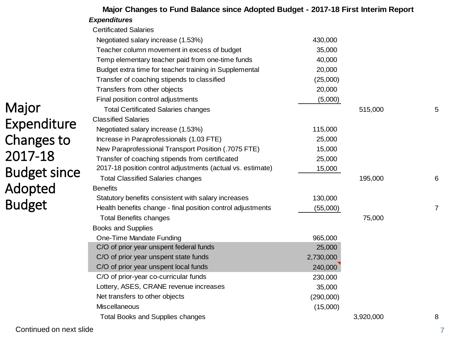|                     | <b>Expenditures</b>                                         |           |           |                |
|---------------------|-------------------------------------------------------------|-----------|-----------|----------------|
|                     | <b>Certificated Salaries</b>                                |           |           |                |
|                     | Negotiated salary increase (1.53%)                          | 430,000   |           |                |
|                     | Teacher column movement in excess of budget                 | 35,000    |           |                |
|                     | Temp elementary teacher paid from one-time funds            | 40,000    |           |                |
|                     | Budget extra time for teacher training in Supplemental      | 20,000    |           |                |
|                     | Transfer of coaching stipends to classified                 | (25,000)  |           |                |
|                     | Transfers from other objects                                | 20,000    |           |                |
|                     | Final position control adjustments                          | (5,000)   |           |                |
| Major               | <b>Total Certificated Salaries changes</b>                  |           | 515,000   | 5              |
| Expenditure         | <b>Classified Salaries</b>                                  |           |           |                |
|                     | Negotiated salary increase (1.53%)                          | 115,000   |           |                |
| Changes to          | Increase in Paraprofessionals (1.03 FTE)                    | 25,000    |           |                |
|                     | New Paraprofessional Transport Position (.7075 FTE)         | 15,000    |           |                |
| 2017-18             | Transfer of coaching stipends from certificated             | 25,000    |           |                |
| <b>Budget since</b> | 2017-18 position control adjustments (actual vs. estimate)  | 15,000    |           |                |
|                     | <b>Total Classified Salaries changes</b>                    |           | 195,000   | 6              |
| Adopted             | <b>Benefits</b>                                             |           |           |                |
| <b>Budget</b>       | Statutory benefits consistent with salary increases         | 130,000   |           |                |
|                     | Health benefits change - final position control adjustments | (55,000)  |           | $\overline{7}$ |
|                     | <b>Total Benefits changes</b>                               |           | 75,000    |                |
|                     | <b>Books and Supplies</b>                                   |           |           |                |
|                     | One-Time Mandate Funding                                    | 965,000   |           |                |
|                     | C/O of prior year unspent federal funds                     | 25,000    |           |                |
|                     | C/O of prior year unspent state funds                       | 2,730,000 |           |                |
|                     | C/O of prior year unspent local funds                       | 240,000   |           |                |
|                     | C/O of prior-year co-curricular funds                       | 230,000   |           |                |
|                     | Lottery, ASES, CRANE revenue increases                      | 35,000    |           |                |
|                     | Net transfers to other objects                              | (290,000) |           |                |
|                     | <b>Miscellaneous</b>                                        | (15,000)  |           |                |
|                     | <b>Total Books and Supplies changes</b>                     |           | 3,920,000 | 8              |

**Major Changes to Fund Balance since Adopted Budget - 2017-18 First Interim Report**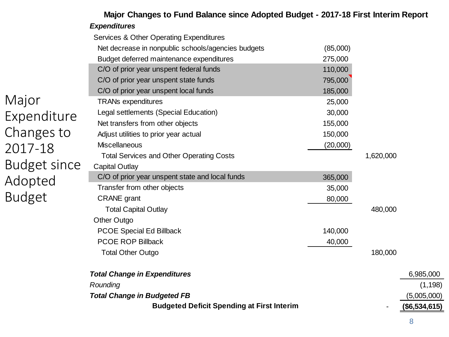| <b>Expenditures</b>                                |          |           |                                                                                   |
|----------------------------------------------------|----------|-----------|-----------------------------------------------------------------------------------|
| Services & Other Operating Expenditures            |          |           |                                                                                   |
| Net decrease in nonpublic schools/agencies budgets | (85,000) |           |                                                                                   |
| Budget deferred maintenance expenditures           | 275,000  |           |                                                                                   |
| C/O of prior year unspent federal funds            | 110,000  |           |                                                                                   |
| C/O of prior year unspent state funds              | 795,000  |           |                                                                                   |
| C/O of prior year unspent local funds              | 185,000  |           |                                                                                   |
| <b>TRANs expenditures</b>                          | 25,000   |           |                                                                                   |
| Legal settlements (Special Education)              | 30,000   |           |                                                                                   |
| Net transfers from other objects                   | 155,000  |           |                                                                                   |
| Adjust utilities to prior year actual              | 150,000  |           |                                                                                   |
| <b>Miscellaneous</b>                               | (20,000) |           |                                                                                   |
| <b>Total Services and Other Operating Costs</b>    |          | 1,620,000 |                                                                                   |
| <b>Capital Outlay</b>                              |          |           |                                                                                   |
| C/O of prior year unspent state and local funds    | 365,000  |           |                                                                                   |
| Transfer from other objects                        | 35,000   |           |                                                                                   |
| <b>CRANE</b> grant                                 | 80,000   |           |                                                                                   |
| <b>Total Capital Outlay</b>                        |          | 480,000   |                                                                                   |
| <b>Other Outgo</b>                                 |          |           |                                                                                   |
| <b>PCOE Special Ed Billback</b>                    | 140,000  |           |                                                                                   |
| <b>PCOE ROP Billback</b>                           | 40,000   |           |                                                                                   |
| <b>Total Other Outgo</b>                           |          | 180,000   |                                                                                   |
| <b>Total Change in Expenditures</b>                |          |           | 6,985,000                                                                         |
| Rounding                                           |          |           | (1, 198)                                                                          |
| <b>Total Change in Budgeted FB</b>                 |          |           | (5,005,000)                                                                       |
| <b>Budgeted Deficit Spending at First Interim</b>  |          |           | (\$6,534,615)                                                                     |
|                                                    |          |           | Major Changes to Fund Balance since Adopted Budget - 2017-18 First Interim Report |

Majo Expen Chan 2017 **Budg** Adop **Budget**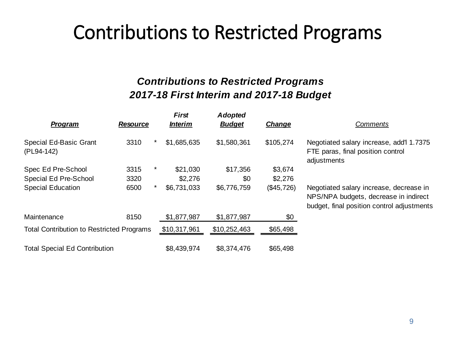## Contributions to Restricted Programs

#### *Contributions to Restricted Programs 2017-18 First Interim and 2017-18 Budget*

| Program                                          | <b>Resource</b> | <b>First</b><br><b>Interim</b> | <b>Adopted</b><br><b>Budget</b> | <b>Change</b> | <b>Comments</b>                                                                                                                |
|--------------------------------------------------|-----------------|--------------------------------|---------------------------------|---------------|--------------------------------------------------------------------------------------------------------------------------------|
| <b>Special Ed-Basic Grant</b><br>(PL94-142)      | 3310            | \$1,685,635<br>$\star$         | \$1,580,361                     | \$105,274     | Negotiated salary increase, add'l 1.7375<br>FTE paras, final position control<br>adjustments                                   |
| Spec Ed Pre-School                               | 3315            | \$21,030<br>*                  | \$17,356                        | \$3,674       |                                                                                                                                |
| Special Ed Pre-School                            | 3320            | \$2,276                        | \$0                             | \$2,276       |                                                                                                                                |
| <b>Special Education</b>                         | 6500            | \$6,731,033<br>$\star$         | \$6,776,759                     | (\$45,726)    | Negotiated salary increase, decrease in<br>NPS/NPA budgets, decrease in indirect<br>budget, final position control adjustments |
| Maintenance                                      | 8150            | \$1,877,987                    | \$1,877,987                     | \$0           |                                                                                                                                |
| <b>Total Contribution to Restricted Programs</b> |                 | \$10,317,961                   | \$10,252,463                    | \$65,498      |                                                                                                                                |
| <b>Total Special Ed Contribution</b>             |                 | \$8,439,974                    | \$8,374,476                     | \$65,498      |                                                                                                                                |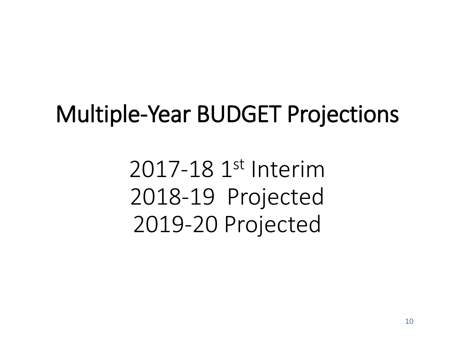## Multiple-Year BUDGET Projections

2017-18 1st Interim 2018-19 Projected 2019-20 Projected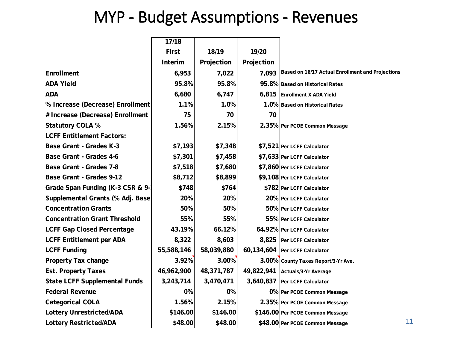### MYP - Budget Assumptions - Revenues

|                                      | 17/18        |            |            |                                                  |
|--------------------------------------|--------------|------------|------------|--------------------------------------------------|
|                                      | <b>First</b> | 18/19      | 19/20      |                                                  |
|                                      | Interim      | Projection | Projection |                                                  |
| <b>Enrollment</b>                    | 6,953        | 7,022      | 7,093      | Based on 16/17 Actual Enrollment and Projections |
| <b>ADA Yield</b>                     | 95.8%        | 95.8%      |            | 95.8% Based on Historical Rates                  |
| <b>ADA</b>                           | 6,680        | 6,747      |            | 6,815 Enrollment X ADA Yield                     |
| % Increase (Decrease) Enrollment     | 1.1%         | 1.0%       |            | 1.0% Based on Historical Rates                   |
| # Increase (Decrease) Enrollment     | 75           | 70         | 70         |                                                  |
| <b>Statutory COLA %</b>              | 1.56%        | 2.15%      |            | 2.35% Per PCOE Common Message                    |
| <b>LCFF Entitlement Factors:</b>     |              |            |            |                                                  |
| <b>Base Grant - Grades K-3</b>       | \$7,193      | \$7,348    |            | \$7,521 Per LCFF Calculator                      |
| <b>Base Grant - Grades 4-6</b>       | \$7,301      | \$7,458    |            | \$7,633 Per LCFF Calculator                      |
| <b>Base Grant - Grades 7-8</b>       | \$7,518      | \$7,680    |            | \$7,860 Per LCFF Calculator                      |
| <b>Base Grant - Grades 9-12</b>      | \$8,712      | \$8,899    |            | \$9,108 Per LCFF Calculator                      |
| Grade Span Funding (K-3 CSR & 9-     | \$748        | \$764      |            | \$782 Per LCFF Calculator                        |
| Supplemental Grants (% Adj. Base)    | 20%          | 20%        |            | 20% Per LCFF Calculator                          |
| <b>Concentration Grants</b>          | 50%          | 50%        |            | 50% Per LCFF Calculator                          |
| <b>Concentration Grant Threshold</b> | 55%          | 55%        |            | 55% Per LCFF Calculator                          |
| <b>LCFF Gap Closed Percentage</b>    | 43.19%       | 66.12%     |            | 64.92% Per LCFF Calculator                       |
| <b>LCFF Entitlement per ADA</b>      | 8,322        | 8,603      |            | 8,825 Per LCFF Calculator                        |
| <b>LCFF Funding</b>                  | 55,588,146   | 58,039,880 |            | 60,134,604   Per LCFF Calculator                 |
| <b>Property Tax change</b>           | 3.92%        | 3.00%      |            | 3.00% County Taxes Report/3-Yr Ave.              |
| <b>Est. Property Taxes</b>           | 46,962,900   | 48,371,787 |            | 49,822,941 Actuals/3-Yr Average                  |
| <b>State LCFF Supplemental Funds</b> | 3,243,714    | 3,470,471  |            | 3,640,837   Per LCFF Calculator                  |
| <b>Federal Revenue</b>               | 0%           | 0%         |            | 0% Per PCOE Common Message                       |
| <b>Categorical COLA</b>              | 1.56%        | 2.15%      |            | 2.35% Per PCOE Common Message                    |
| <b>Lottery Unrestricted/ADA</b>      | \$146.00     | \$146.00   |            | \$146.00 Per PCOE Common Message                 |
| <b>Lottery Restricted/ADA</b>        | \$48.00      | \$48.00    |            | \$48.00 Per PCOE Common Message                  |

11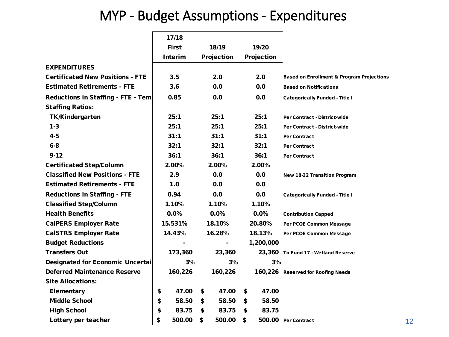#### MYP - Budget Assumptions - Expenditures

|                                          | 17/18          |              |             |                                                      |
|------------------------------------------|----------------|--------------|-------------|------------------------------------------------------|
|                                          | <b>First</b>   | 18/19        | 19/20       |                                                      |
|                                          | <b>Interim</b> | Projection   | Projection  |                                                      |
| <b>EXPENDITURES</b>                      |                |              |             |                                                      |
| <b>Certificated New Positions - FTE</b>  | 3.5            | 2.0          | 2.0         | <b>Based on Enrollment &amp; Program Projections</b> |
| <b>Estimated Retirements - FTE</b>       | 3.6            | 0.0          | 0.0         | <b>Based on Notifications</b>                        |
| Reductions in Staffing - FTE - Tem       | 0.85           | 0.0          | 0.0         |                                                      |
| <b>Staffing Ratios:</b>                  |                |              |             | <b>Categorically Funded - Title I</b>                |
| <b>TK/Kindergarten</b>                   | 25:1           | 25:1         | 25:1        |                                                      |
|                                          |                |              |             | Per Contract - District-wide                         |
| $1 - 3$                                  | 25:1           | 25:1         | 25:1        | Per Contract - District-wide                         |
| $4 - 5$                                  | 31:1           | 31:1         | 31:1        | Per Contract                                         |
| $6-8$                                    | 32:1           | 32:1         | 32:1        | Per Contract                                         |
| $9 - 12$                                 | 36:1           | 36:1         | 36:1        | Per Contract                                         |
| <b>Certificated Step/Column</b>          | 2.00%          | 2.00%        | 2.00%       |                                                      |
| <b>Classified New Positions - FTE</b>    | 2.9            | 0.0          | 0.0         | <b>New 18-22 Transition Program</b>                  |
| <b>Estimated Retirements - FTE</b>       | 1.0            | 0.0          | 0.0         |                                                      |
| <b>Reductions in Staffing - FTE</b>      | 0.94           | 0.0          | 0.0         | <b>Categorically Funded - Title I</b>                |
| <b>Classified Step/Column</b>            | 1.10%          | 1.10%        | 1.10%       |                                                      |
| <b>Health Benefits</b>                   | 0.0%           | 0.0%         | 0.0%        | <b>Contribution Capped</b>                           |
| <b>CalPERS Employer Rate</b>             | 15.531%        | 18.10%       | 20.80%      | Per PCOE Common Message                              |
| <b>CalSTRS Employer Rate</b>             | 14.43%         | 16.28%       | 18.13%      | Per PCOE Common Message                              |
| <b>Budget Reductions</b>                 |                |              | 1,200,000   |                                                      |
| <b>Transfers Out</b>                     | 173,360        | 23,360       | 23,360      | To Fund 17 - Wetland Reserve                         |
| <b>Designated for Economic Uncertail</b> | 3%             | 3%           | 3%          |                                                      |
| <b>Deferred Maintenance Reserve</b>      | 160,226        | 160,226      | 160,226     | <b>Reserved for Roofing Needs</b>                    |
| <b>Site Allocations:</b>                 |                |              |             |                                                      |
| Elementary                               | \$<br>47.00    | \$<br>47.00  | 47.00<br>\$ |                                                      |
| <b>Middle School</b>                     | \$<br>58.50    | \$<br>58.50  | \$<br>58.50 |                                                      |
| <b>High School</b>                       | \$<br>83.75    | \$<br>83.75  | \$<br>83.75 |                                                      |
| Lottery per teacher                      | \$<br>500.00   | \$<br>500.00 | \$          | 500.00 Per Contract                                  |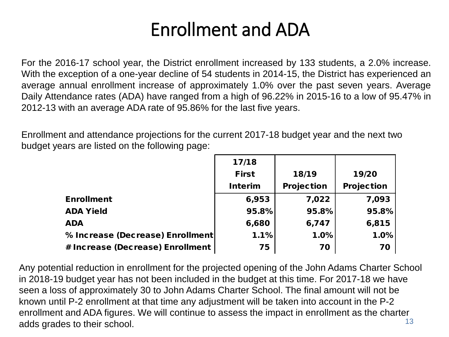## Enrollment and ADA

For the 2016-17 school year, the District enrollment increased by 133 students, a 2.0% increase. With the exception of a one-year decline of 54 students in 2014-15, the District has experienced an average annual enrollment increase of approximately 1.0% over the past seven years. Average Daily Attendance rates (ADA) have ranged from a high of 96.22% in 2015-16 to a low of 95.47% in 2012-13 with an average ADA rate of 95.86% for the last five years.

Enrollment and attendance projections for the current 2017-18 budget year and the next two budget years are listed on the following page:

|                                  | 17/18          |                   |                   |
|----------------------------------|----------------|-------------------|-------------------|
|                                  | <b>First</b>   | 18/19             | 19/20             |
|                                  | <b>Interim</b> | <b>Projection</b> | <b>Projection</b> |
| <b>Enrollment</b>                | 6,953          | 7,022             | 7,093             |
| <b>ADA Yield</b>                 | 95.8%          | 95.8%             | 95.8%             |
| <b>ADA</b>                       | 6,680          | 6,747             | 6,815             |
| % Increase (Decrease) Enrollment | 1.1%           | 1.0%              | 1.0%              |
| # Increase (Decrease) Enrollment | 75             | 70                | 70                |

13 Any potential reduction in enrollment for the projected opening of the John Adams Charter School in 2018-19 budget year has not been included in the budget at this time. For 2017-18 we have seen a loss of approximately 30 to John Adams Charter School. The final amount will not be known until P-2 enrollment at that time any adjustment will be taken into account in the P-2 enrollment and ADA figures. We will continue to assess the impact in enrollment as the charter adds grades to their school.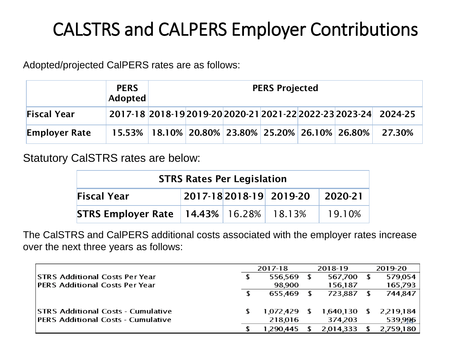## CALSTRS and CALPERS Employer Contributions

Adopted/projected CalPERS rates are as follows:

|                      | <b>PERS</b><br>Adopted | <b>PERS Projected</b> |  |  |  |  |  |                                                                       |
|----------------------|------------------------|-----------------------|--|--|--|--|--|-----------------------------------------------------------------------|
| <b>Fiscal Year</b>   |                        |                       |  |  |  |  |  | 2017-18 2018-19 2019-20 2020-21 2021-22 2022-23 2023-24 2024-25       |
| <b>Employer Rate</b> |                        |                       |  |  |  |  |  | 15.53%   18.10%   20.80%   23.80%   25.20%   26.10%   26.80%   27.30% |

Statutory CalSTRS rates are below:

| <b>STRS Rates Per Legislation</b>                            |  |  |  |        |  |  |  |
|--------------------------------------------------------------|--|--|--|--------|--|--|--|
| 2017-18 2018-19 2019-20<br><b>Fiscal Year</b><br>$ 2020-21 $ |  |  |  |        |  |  |  |
| <b>STRS Employer Rate   14.43%   16.28%   18.13%</b>         |  |  |  | 19.10% |  |  |  |

The CalSTRS and CalPERS additional costs associated with the employer rates increase over the next three years as follows:

|                                           | 2017-18   | 2018-19      |           | 2019-20 |             |
|-------------------------------------------|-----------|--------------|-----------|---------|-------------|
| STRS Additional Costs Per Year            | 556,569   |              | 567,700   |         | 579,054     |
| <b>PERS Additional Costs Per Year</b>     | 98,900    |              | 156,187   |         | 165,793     |
|                                           | 655.469   |              | 723,887   |         | 744,847     |
|                                           |           |              |           |         |             |
| <b>STRS Additional Costs - Cumulative</b> | 1,072,429 | $\mathbf{r}$ | 1,640,130 |         | \$2,219,184 |
| <b>PERS Additional Costs - Cumulative</b> | 218,016   |              | 374,203   |         | 539,996     |
|                                           | 1,290,445 |              | 2,014,333 |         | 2,759,180   |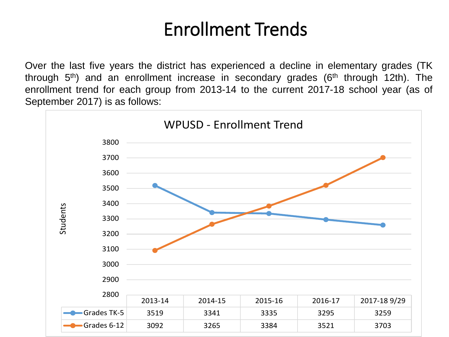## Enrollment Trends

Over the last five years the district has experienced a decline in elementary grades (TK through  $5<sup>th</sup>$ ) and an enrollment increase in secondary grades ( $6<sup>th</sup>$  through 12th). The enrollment trend for each group from 2013-14 to the current 2017-18 school year (as of September 2017) is as follows:

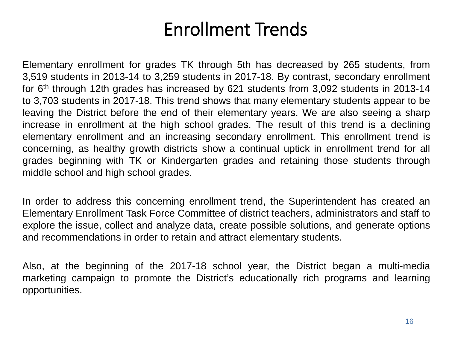## Enrollment Trends

Elementary enrollment for grades TK through 5th has decreased by 265 students, from 3,519 students in 2013-14 to 3,259 students in 2017-18. By contrast, secondary enrollment for 6<sup>th</sup> through 12th grades has increased by 621 students from 3,092 students in 2013-14 to 3,703 students in 2017-18. This trend shows that many elementary students appear to be leaving the District before the end of their elementary years. We are also seeing a sharp increase in enrollment at the high school grades. The result of this trend is a declining elementary enrollment and an increasing secondary enrollment. This enrollment trend is concerning, as healthy growth districts show a continual uptick in enrollment trend for all grades beginning with TK or Kindergarten grades and retaining those students through middle school and high school grades.

In order to address this concerning enrollment trend, the Superintendent has created an Elementary Enrollment Task Force Committee of district teachers, administrators and staff to explore the issue, collect and analyze data, create possible solutions, and generate options and recommendations in order to retain and attract elementary students.

Also, at the beginning of the 2017-18 school year, the District began a multi-media marketing campaign to promote the District's educationally rich programs and learning opportunities.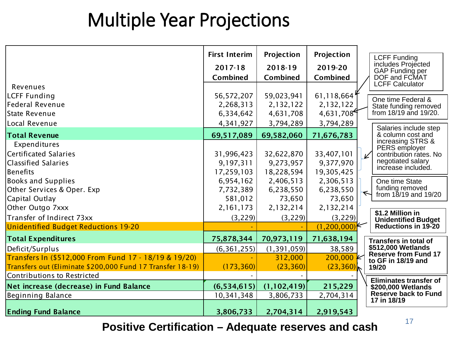## Multiple Year Projections

|                                                            | <b>First Interim</b> | Projection    | Projection      | <b>LCFF Funding</b>                               |
|------------------------------------------------------------|----------------------|---------------|-----------------|---------------------------------------------------|
|                                                            | 2017-18              | 2018-19       | 2019-20         | includes Projected<br>GAP Funding per             |
|                                                            | Combined             | Combined      | <b>Combined</b> | DOF and FCMAT                                     |
| Revenues                                                   |                      |               |                 | <b>LCFF Calculator</b>                            |
| LCFF Funding                                               | 56,572,207           | 59,023,941    | 61,118,664      | One time Federal &                                |
| Federal Revenue                                            | 2,268,313            | 2,132,122     | 2,132,122       | State funding removed                             |
| State Revenue                                              | 6,334,642            | 4,631,708     | 4,631,708       | from 18/19 and 19/20.                             |
| Local Revenue                                              | 4,341,927            | 3,794,289     | 3,794,289       | Salaries include step                             |
| <b>Total Revenue</b>                                       | 69,517,089           | 69,582,060    | 71,676,783      | & column cost and                                 |
| Expenditures                                               |                      |               |                 | increasing STRS &<br>PERS employer                |
| Certificated Salaries                                      | 31,996,423           | 32,622,870    | 33,407,101      | contribution rates. No<br>V                       |
| <b>Classified Salaries</b>                                 | 9,197,311            | 9,273,957     | 9,377,970       | negotiated salary<br>increase included.           |
| <b>Benefits</b>                                            | 17,259,103           | 18,228,594    | 19,305,425      |                                                   |
| <b>Books and Supplies</b>                                  | 6,954,162            | 2,406,513     | 2,306,513       | One time State                                    |
| Other Services & Oper. Exp                                 | 7,732,389            | 6,238,550     | 6,238,550       | funding removed<br>from $18/19$ and $19/20$       |
| Capital Outlay                                             | 581,012              | 73,650        | 73,650          |                                                   |
| Other Outgo 7xxx                                           | 2,161,173            | 2,132,214     | 2,132,214       | \$1.2 Million in                                  |
| Transfer of Indirect 73xx                                  | (3, 229)             | (3, 229)      | (3, 229)        | <b>Unidentified Budget</b>                        |
| Unidentified Budget Reductions 19-20                       |                      |               | $(1,200,000)^k$ | <b>Reductions in 19-20</b>                        |
| <b>Total Expenditures</b>                                  | 75,878,344           | 70,973,119    | 71,638,194      | <b>Transfers in total of</b>                      |
| Deficit/Surplus                                            | (6, 361, 255)        | (1, 391, 059) | 38,589          | \$512,000 Wetlands                                |
| Transfers In (\$512,000 From Fund 17 - 18/19 & 19/20)      |                      | 312,000       | 200,000         | <b>Reserve from Fund 17</b><br>to GF in 18/19 and |
| Transfers out (Eliminate \$200,000 Fund 17 Transfer 18-19) | (173, 360)           | (23, 360)     | (23, 360)       | 19/20                                             |
| Contributions to Restricted                                |                      |               |                 | <b>Eliminates transfer of</b>                     |
| Net increase (decrease) in Fund Balance                    | (6,534,615)          | (1,102,419)   | 215,229         | \$200,000 Wetlands                                |
| Beginning Balance                                          | 10,341,348           | 3,806,733     | 2,704,314       | Reserve back to Fund<br>17 in 18/19               |
| <b>Ending Fund Balance</b>                                 | 3,806,733            | 2,704,314     | 2,919,543       |                                                   |

<sup>17</sup> **Positive Certification – Adequate reserves and cash**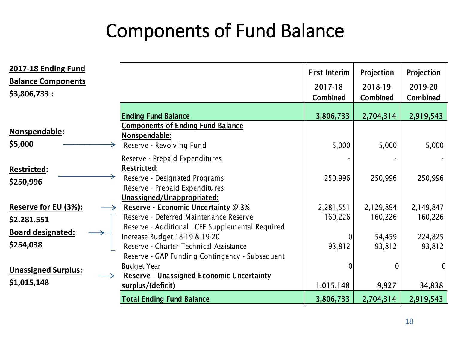## Components of Fund Balance

| 2017-18 Ending Fund<br><b>Balance Components</b><br>\$3,806,733: |                                                                       | <b>First Interim</b><br>2017-18<br><b>Combined</b> | Projection<br>2018-19<br><b>Combined</b> | Projection<br>2019-20<br><b>Combined</b> |
|------------------------------------------------------------------|-----------------------------------------------------------------------|----------------------------------------------------|------------------------------------------|------------------------------------------|
|                                                                  | <b>Ending Fund Balance</b>                                            | 3,806,733                                          | 2,704,314                                | 2,919,543                                |
| Nonspendable:                                                    | <b>Components of Ending Fund Balance</b>                              |                                                    |                                          |                                          |
| \$5,000                                                          | Nonspendable:<br>Reserve - Revolving Fund                             | 5,000                                              | 5,000                                    | 5,000                                    |
|                                                                  | Reserve - Prepaid Expenditures                                        |                                                    |                                          |                                          |
| <b>Restricted:</b>                                               | <b>Restricted:</b>                                                    |                                                    |                                          |                                          |
| \$250,996                                                        | Reserve - Designated Programs                                         | 250,996                                            | 250,996                                  | 250,996                                  |
|                                                                  | Reserve - Prepaid Expenditures<br><u>Unassigned/Unappropriated:</u>   |                                                    |                                          |                                          |
| <b>Reserve for EU (3%):</b>                                      | Reserve - Economic Uncertainty @ 3%                                   | 2,281,551                                          | 2,129,894                                | 2,149,847                                |
| \$2.281.551                                                      | Reserve - Deferred Maintenance Reserve                                | 160,226                                            | 160,226                                  | 160,226                                  |
| <b>Board designated:</b>                                         | Reserve - Additional LCFF Supplemental Required                       |                                                    |                                          |                                          |
|                                                                  | Increase Budget 18-19 & 19-20                                         | 0                                                  | 54,459                                   | 224,825                                  |
| \$254,038                                                        | Reserve - Charter Technical Assistance                                | 93,812                                             | 93,812                                   | 93,812                                   |
|                                                                  | Reserve - GAP Funding Contingency - Subsequent                        |                                                    |                                          |                                          |
| <b>Unassigned Surplus:</b>                                       | <b>Budget Year</b>                                                    | 0                                                  |                                          | 0                                        |
| \$1,015,148                                                      | <b>Reserve - Unassigned Economic Uncertainty</b><br>surplus/(deficit) | 1,015,148                                          | 9,927                                    | 34,838                                   |
|                                                                  | <b>Total Ending Fund Balance</b>                                      | 3,806,733                                          | 2,704,314                                | 2,919,543                                |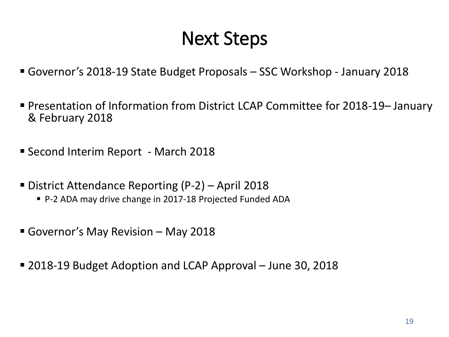## Next Steps

- Governor's 2018-19 State Budget Proposals SSC Workshop January 2018
- Presentation of Information from District LCAP Committee for 2018-19– January & February 2018
- Second Interim Report March 2018
- District Attendance Reporting (P-2) April 2018
	- P-2 ADA may drive change in 2017-18 Projected Funded ADA
- Governor's May Revision May 2018
- 2018-19 Budget Adoption and LCAP Approval June 30, 2018